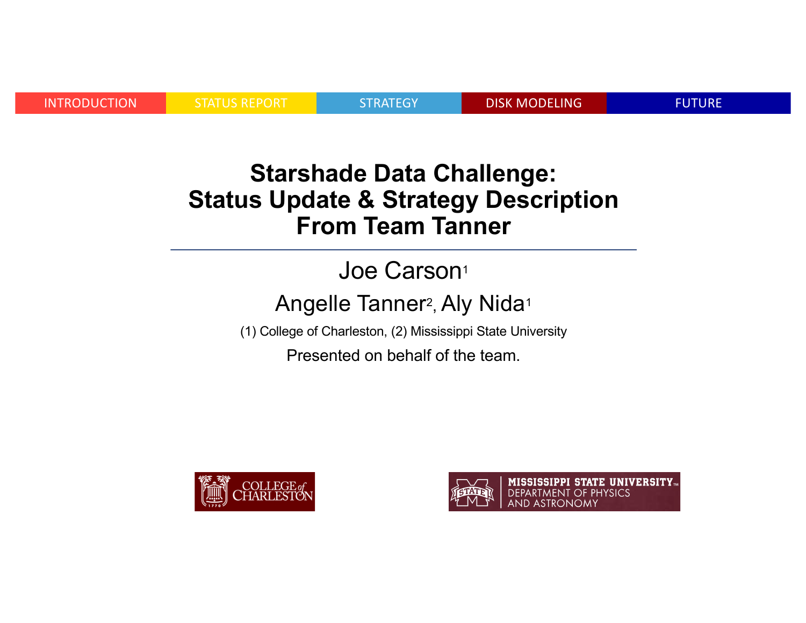INTRODUCTION STATUS REPORT STRATEGY DISK MODELING FUTURE

#### **Starshade Data Challenge: Status Update & Strategy Description From Team Tanner**

### Joe Carson<sup>1</sup>

#### Angelle Tanner<sup>2</sup>, Aly Nida<sup>1</sup>

(1) College of Charleston, (2) Mississippi State University

Presented on behalf of the team.



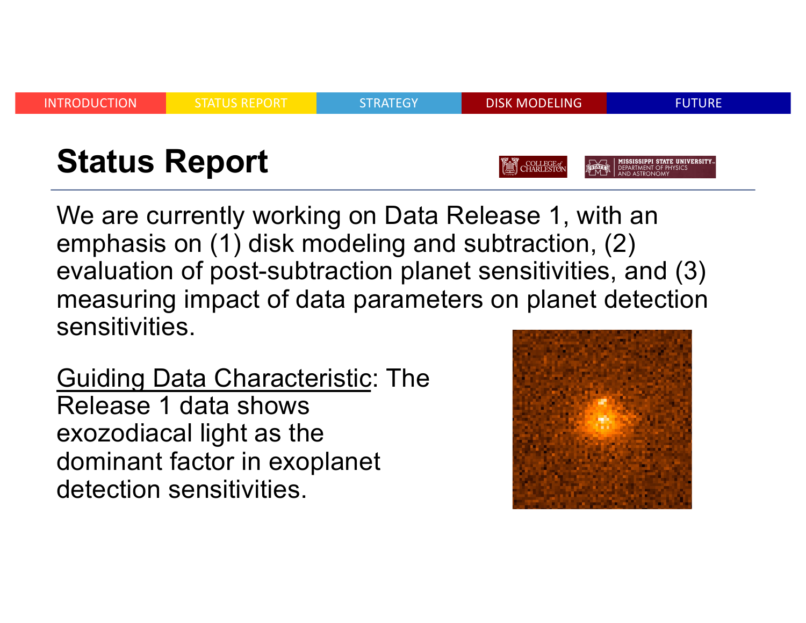

We are currently working on Data Release 1, with an emphasis on (1) disk modeling and subtraction, (2) evaluation of post-subtraction planet sensitivities, and (3) measuring impact of data parameters on planet detection sensitivities.

Guiding Data Characteristic: The Release 1 data shows exozodiacal light as the dominant factor in exoplanet detection sensitivities.

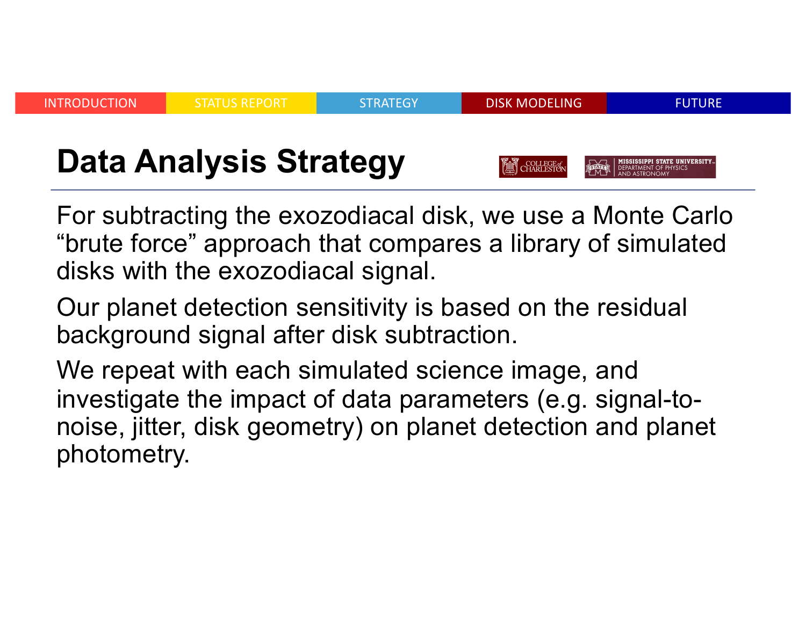

For subtracting the exozodiacal disk, we use a Monte Carlo "brute force" approach that compares a library of simulated disks with the exozodiacal signal.

Our planet detection sensitivity is based on the residual background signal after disk subtraction.

We repeat with each simulated science image, and investigate the impact of data parameters (e.g. signal-tonoise, jitter, disk geometry) on planet detection and planet photometry.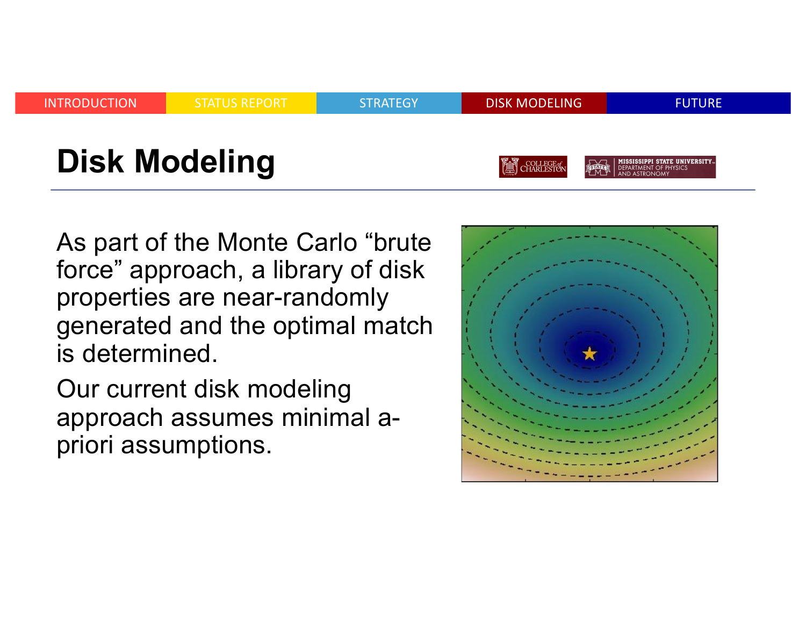

As part of the Monte Carlo "brute force" approach, a library of disk properties are near-randomly generated and the optimal match is determined.

Our current disk modeling approach assumes minimal apriori assumptions.

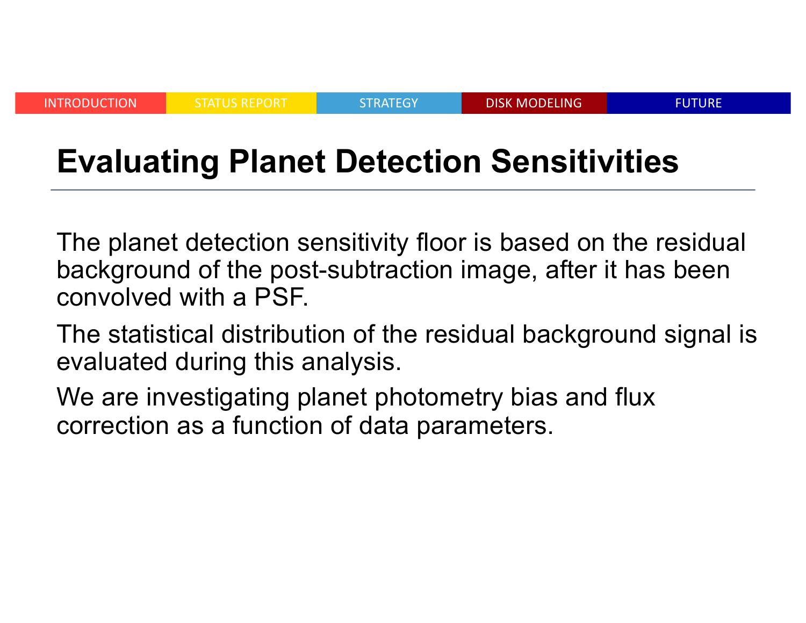INTRODUCTION STATUS REPORT STRATEGY DISK MODELING FUTURE

# **Evaluating Planet Detection Sensitivities**

The planet detection sensitivity floor is based on the residual background of the post-subtraction image, after it has been convolved with a PSF.

The statistical distribution of the residual background signal is evaluated during this analysis.

We are investigating planet photometry bias and flux correction as a function of data parameters.